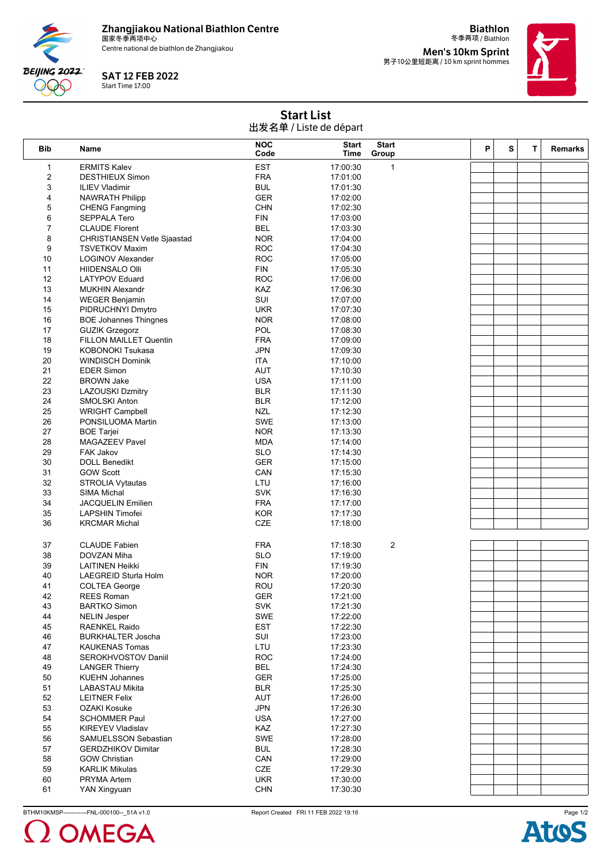

**BEIJING 2022** 999

Centre national de biathlon de Zhangjiakou



冬季两项 / Biathlon **Men's 10km Sprint<br><sub>男子10公里短距离 / 10 km sprint hommes**</sub>

**Biathlon**



Start List 出发名单 / Liste de départ

| <b>Bib</b>              | Name                               | <b>NOC</b><br>Code | <b>Start</b><br>Time | <b>Start</b><br>Group | P | S | т | <b>Remarks</b> |
|-------------------------|------------------------------------|--------------------|----------------------|-----------------------|---|---|---|----------------|
| 1                       | <b>ERMITS Kalev</b>                | <b>EST</b>         | 17:00:30             | $\mathbf{1}$          |   |   |   |                |
| $\overline{\mathbf{c}}$ | <b>DESTHIEUX Simon</b>             | <b>FRA</b>         | 17:01:00             |                       |   |   |   |                |
| 3                       | <b>ILIEV Vladimir</b>              | <b>BUL</b>         | 17:01:30             |                       |   |   |   |                |
| 4                       | <b>NAWRATH Philipp</b>             | <b>GER</b>         | 17:02:00             |                       |   |   |   |                |
| 5                       | <b>CHENG Fangming</b>              | <b>CHN</b>         | 17:02:30             |                       |   |   |   |                |
| 6                       | <b>SEPPALA Tero</b>                | <b>FIN</b>         | 17:03:00             |                       |   |   |   |                |
| 7                       | <b>CLAUDE Florent</b>              | <b>BEL</b>         | 17:03:30             |                       |   |   |   |                |
| 8                       | <b>CHRISTIANSEN Vetle Sjaastad</b> | <b>NOR</b>         | 17:04:00             |                       |   |   |   |                |
| 9                       | <b>TSVETKOV Maxim</b>              | <b>ROC</b>         | 17:04:30             |                       |   |   |   |                |
| 10                      | <b>LOGINOV Alexander</b>           | <b>ROC</b>         | 17:05:00             |                       |   |   |   |                |
| 11                      | <b>HIIDENSALO OIII</b>             | <b>FIN</b>         | 17:05:30             |                       |   |   |   |                |
| 12                      | <b>LATYPOV Eduard</b>              | <b>ROC</b>         | 17:06:00             |                       |   |   |   |                |
| 13                      | <b>MUKHIN Alexandr</b>             | KAZ                | 17:06:30             |                       |   |   |   |                |
| 14                      | <b>WEGER Benjamin</b>              | SUI                | 17:07:00             |                       |   |   |   |                |
| 15                      | PIDRUCHNYI Dmytro                  | <b>UKR</b>         | 17:07:30             |                       |   |   |   |                |
| 16                      | <b>BOE Johannes Thingnes</b>       | <b>NOR</b>         | 17:08:00             |                       |   |   |   |                |
| 17                      | <b>GUZIK Grzegorz</b>              | POL                | 17:08:30             |                       |   |   |   |                |
| 18                      | <b>FILLON MAILLET Quentin</b>      | <b>FRA</b>         | 17:09:00             |                       |   |   |   |                |
| 19                      |                                    | <b>JPN</b>         |                      |                       |   |   |   |                |
|                         | <b>KOBONOKI Tsukasa</b>            | <b>ITA</b>         | 17:09:30             |                       |   |   |   |                |
| 20<br>21                | <b>WINDISCH Dominik</b>            | <b>AUT</b>         | 17:10:00             |                       |   |   |   |                |
|                         | <b>EDER Simon</b>                  |                    | 17:10:30             |                       |   |   |   |                |
| 22                      | <b>BROWN Jake</b>                  | <b>USA</b>         | 17:11:00             |                       |   |   |   |                |
| 23                      | <b>LAZOUSKI Dzmitry</b>            | <b>BLR</b>         | 17:11:30             |                       |   |   |   |                |
| 24                      | SMOLSKI Anton                      | <b>BLR</b>         | 17:12:00             |                       |   |   |   |                |
| 25                      | <b>WRIGHT Campbell</b>             | <b>NZL</b>         | 17:12:30             |                       |   |   |   |                |
| 26                      | PONSILUOMA Martin                  | <b>SWE</b>         | 17:13:00             |                       |   |   |   |                |
| 27                      | <b>BOE Tarjei</b>                  | <b>NOR</b>         | 17:13:30             |                       |   |   |   |                |
| 28                      | <b>MAGAZEEV Pavel</b>              | <b>MDA</b>         | 17:14:00             |                       |   |   |   |                |
| 29                      | FAK Jakov                          | <b>SLO</b>         | 17:14:30             |                       |   |   |   |                |
| 30                      | <b>DOLL Benedikt</b>               | <b>GER</b>         | 17:15:00             |                       |   |   |   |                |
| 31                      | <b>GOW Scott</b>                   | CAN                | 17:15:30             |                       |   |   |   |                |
| 32                      | <b>STROLIA Vytautas</b>            | LTU                | 17:16:00             |                       |   |   |   |                |
| 33                      | <b>SIMA Michal</b>                 | <b>SVK</b>         | 17:16:30             |                       |   |   |   |                |
| 34                      | JACQUELIN Emilien                  | <b>FRA</b>         | 17:17:00             |                       |   |   |   |                |
| 35                      | <b>LAPSHIN Timofei</b>             | <b>KOR</b>         | 17:17:30             |                       |   |   |   |                |
| 36                      | <b>KRCMAR Michal</b>               | <b>CZE</b>         | 17:18:00             |                       |   |   |   |                |
|                         |                                    |                    |                      |                       |   |   |   |                |
| 37                      | <b>CLAUDE Fabien</b>               | <b>FRA</b>         | 17:18:30             | 2                     |   |   |   |                |
| 38                      | DOVZAN Miha                        | <b>SLO</b>         | 17:19:00             |                       |   |   |   |                |
| 39                      | <b>LAITINEN Heikki</b>             | <b>FIN</b>         | 17:19:30             |                       |   |   |   |                |
| 40                      | LAEGREID Sturla Holm               | <b>NOR</b>         | 17:20:00             |                       |   |   |   |                |
| 41                      | <b>COLTEA George</b>               | ROU                | 17:20:30             |                       |   |   |   |                |
| 42                      | REES Roman                         | GER                | 17:21:00             |                       |   |   |   |                |
| 43                      | <b>BARTKO Simon</b>                | <b>SVK</b>         | 17:21:30             |                       |   |   |   |                |
| 44                      | <b>NELIN Jesper</b>                | SWE                | 17:22:00             |                       |   |   |   |                |
| 45                      | <b>RAENKEL Raido</b>               | <b>EST</b>         | 17:22:30             |                       |   |   |   |                |
| 46                      | <b>BURKHALTER Joscha</b>           | SUI                | 17:23:00             |                       |   |   |   |                |
| 47                      | <b>KAUKENAS Tomas</b>              | LTU                | 17:23:30             |                       |   |   |   |                |
| 48                      | SEROKHVOSTOV Daniil                | <b>ROC</b>         | 17:24:00             |                       |   |   |   |                |
| 49                      | <b>LANGER Thierry</b>              | <b>BEL</b>         | 17:24:30             |                       |   |   |   |                |
| 50                      | <b>KUEHN Johannes</b>              | <b>GER</b>         | 17:25:00             |                       |   |   |   |                |
| 51                      | <b>LABASTAU Mikita</b>             | <b>BLR</b>         | 17:25:30             |                       |   |   |   |                |
| 52                      | <b>LEITNER Felix</b>               | <b>AUT</b>         | 17:26:00             |                       |   |   |   |                |
| 53                      | <b>OZAKI Kosuke</b>                | <b>JPN</b>         | 17:26:30             |                       |   |   |   |                |
| 54                      | <b>SCHOMMER Paul</b>               | <b>USA</b>         | 17:27:00             |                       |   |   |   |                |
| 55                      | <b>KIREYEV Vladislav</b>           | KAZ                | 17:27:30             |                       |   |   |   |                |
| 56                      | SAMUELSSON Sebastian               | <b>SWE</b>         | 17:28:00             |                       |   |   |   |                |
| 57                      | <b>GERDZHIKOV Dimitar</b>          | <b>BUL</b>         | 17:28:30             |                       |   |   |   |                |
| 58                      | <b>GOW Christian</b>               | CAN                | 17:29:00             |                       |   |   |   |                |
| 59                      | <b>KARLIK Mikulas</b>              | CZE                | 17:29:30             |                       |   |   |   |                |
| 60                      | PRYMA Artem                        | <b>UKR</b>         | 17:30:00             |                       |   |   |   |                |
| 61                      |                                    | <b>CHN</b>         | 17:30:30             |                       |   |   |   |                |
|                         | YAN Xingyuan                       |                    |                      |                       |   |   |   |                |

BTHM10KMSP-------------FNL-000100--\_51A v1.0 Report Created FRI 11 FEB 2022 19:16